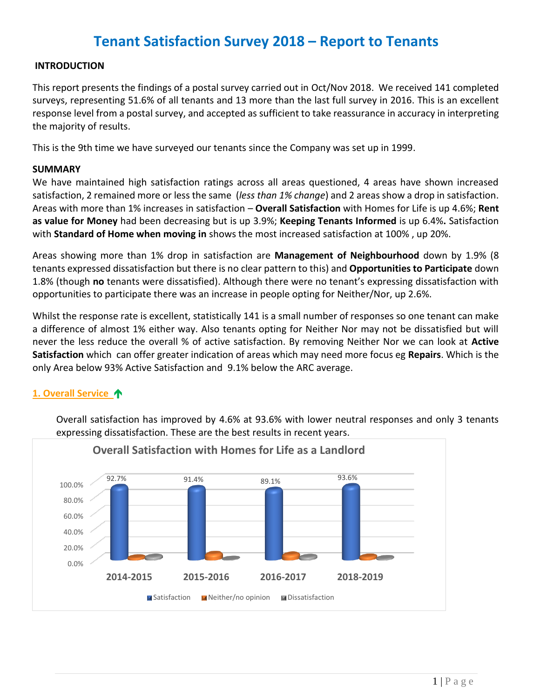# **Tenant Satisfaction Survey 2018 – Report to Tenants**

#### **INTRODUCTION**

This report presents the findings of a postal survey carried out in Oct/Nov 2018. We received 141 completed surveys, representing 51.6% of all tenants and 13 more than the last full survey in 2016. This is an excellent response level from a postal survey, and accepted as sufficient to take reassurance in accuracy in interpreting the majority of results.

This is the 9th time we have surveyed our tenants since the Company was set up in 1999.

#### **SUMMARY**

We have maintained high satisfaction ratings across all areas questioned, 4 areas have shown increased satisfaction, 2 remained more or less the same (*less than 1% change*) and 2 areas show a drop in satisfaction. Areas with more than 1% increases in satisfaction – **Overall Satisfaction** with Homes for Life is up 4.6%; **Rent as value for Money** had been decreasing but is up 3.9%; **Keeping Tenants Informed** is up 6.4%**.** Satisfaction with **Standard of Home when moving in** shows the most increased satisfaction at 100% , up 20%.

Areas showing more than 1% drop in satisfaction are **Management of Neighbourhood** down by 1.9% (8 tenants expressed dissatisfaction but there is no clear pattern to this) and **Opportunities to Participate** down 1.8% (though **no** tenants were dissatisfied). Although there were no tenant's expressing dissatisfaction with opportunities to participate there was an increase in people opting for Neither/Nor, up 2.6%.

Whilst the response rate is excellent, statistically 141 is a small number of responses so one tenant can make a difference of almost 1% either way. Also tenants opting for Neither Nor may not be dissatisfied but will never the less reduce the overall % of active satisfaction. By removing Neither Nor we can look at **Active Satisfaction** which can offer greater indication of areas which may need more focus eg **Repairs**. Which is the only Area below 93% Active Satisfaction and 9.1% below the ARC average.

#### **1. Overall Service**

Overall satisfaction has improved by 4.6% at 93.6% with lower neutral responses and only 3 tenants expressing dissatisfaction. These are the best results in recent years.

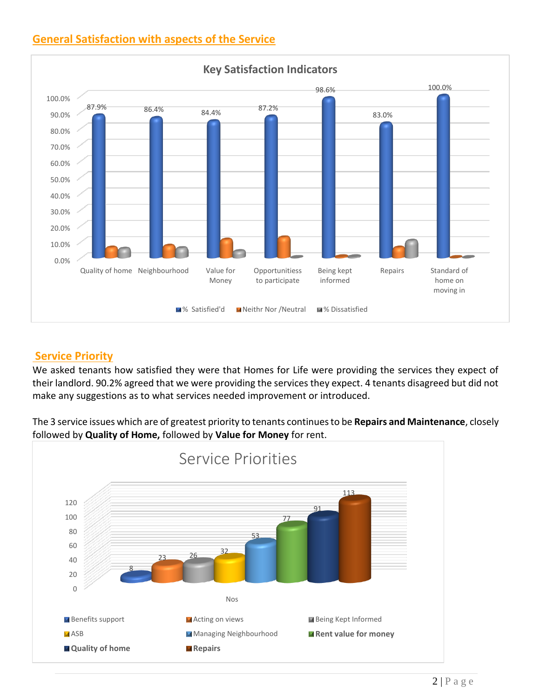## **General Satisfaction with aspects of the Service**



## **Service Priority**

We asked tenants how satisfied they were that Homes for Life were providing the services they expect of their landlord. 90.2% agreed that we were providing the services they expect. 4 tenants disagreed but did not make any suggestions as to what services needed improvement or introduced.

The 3 service issues which are of greatest priority to tenants continues to be **Repairs and Maintenance**, closely followed by **Quality of Home,** followed by **Value for Money** for rent.